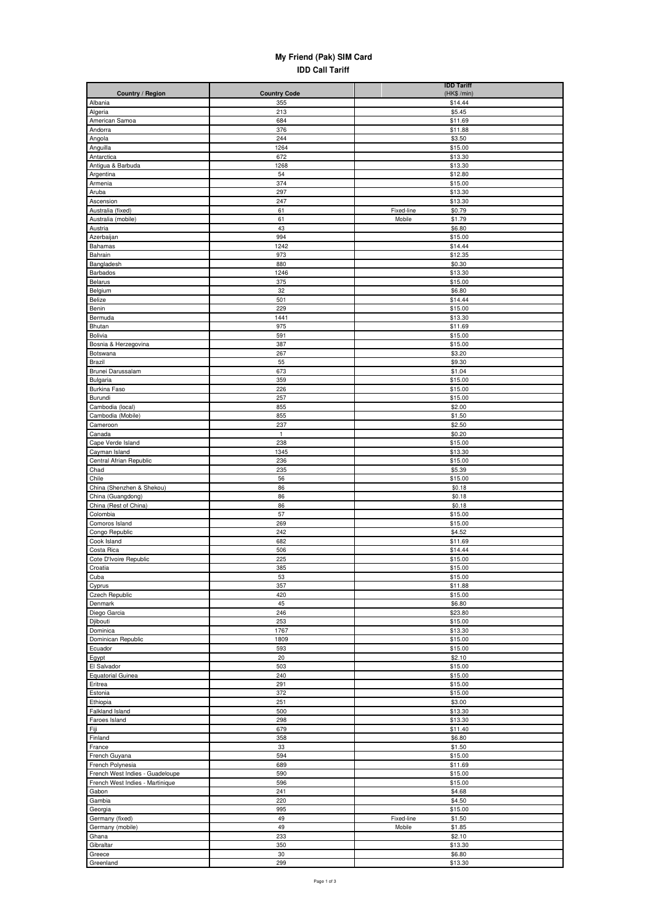## **My Friend (Pak) SIM Card IDD Call Tariff**

| Country / Region                                    | <b>Country Code</b> | <b>IDD Tariff</b><br>(HK\$ /min) |
|-----------------------------------------------------|---------------------|----------------------------------|
| Albania                                             | 355                 | \$14.44                          |
| Algeria                                             | 213                 | \$5.45                           |
| American Samoa                                      | 684                 | \$11.69                          |
| Andorra                                             | 376                 | \$11.88                          |
| Angola                                              | 244                 | \$3.50                           |
| Anguilla                                            | 1264                | \$15.00                          |
| Antarctica<br>Antigua & Barbuda                     | 672<br>1268         | \$13.30<br>\$13.30               |
| Argentina                                           | 54                  | \$12.80                          |
| Armenia                                             | 374                 | \$15.00                          |
| Aruba                                               | 297                 | \$13.30                          |
| Ascension                                           | 247                 | \$13.30                          |
| Australia (fixed)                                   | 61                  | Fixed-line<br>\$0.79             |
| Australia (mobile)                                  | 61                  | Mobile<br>\$1.79                 |
| Austria                                             | 43                  | \$6.80                           |
| Azerbaijan                                          | 994                 | \$15.00                          |
| Bahamas<br>Bahrain                                  | 1242<br>973         | \$14.44<br>\$12.35               |
| Bangladesh                                          | 880                 | \$0.30                           |
| Barbados                                            | 1246                | \$13.30                          |
| Belarus                                             | 375                 | \$15.00                          |
| Belgium                                             | 32                  | \$6.80                           |
| Belize                                              | 501                 | \$14.44                          |
| Benin                                               | 229                 | \$15.00                          |
| Bermuda                                             | 1441                | \$13.30                          |
| Bhutan                                              | 975                 | \$11.69                          |
| Bolivia<br>Bosnia & Herzegovina                     | 591<br>387          | \$15.00<br>\$15.00               |
| Botswana                                            | 267                 | \$3.20                           |
| Brazil                                              | 55                  | \$9.30                           |
| Brunei Darussalam                                   | 673                 | \$1.04                           |
| Bulgaria                                            | 359                 | \$15.00                          |
| Burkina Faso                                        | 226                 | \$15.00                          |
| Burundi                                             | 257                 | \$15.00                          |
| Cambodia (local)                                    | 855                 | \$2.00                           |
| Cambodia (Mobile)                                   | 855<br>237          | \$1.50                           |
| Cameroon<br>Canada                                  | $\mathbf{1}$        | \$2.50<br>\$0.20                 |
| Cape Verde Island                                   | 238                 | \$15.00                          |
| Cayman Island                                       | 1345                | \$13.30                          |
| Central Afrian Republic                             | 236                 | \$15.00                          |
| Chad                                                | 235                 | \$5.39                           |
| Chile                                               | 56                  | \$15.00                          |
| China (Shenzhen & Shekou)                           | 86                  | \$0.18                           |
| China (Guangdong)<br>China (Rest of China)          | 86<br>86            | \$0.18<br>\$0.18                 |
| Colombia                                            | 57                  | \$15.00                          |
| Comoros Island                                      | 269                 | \$15.00                          |
| Congo Republic                                      | 242                 | \$4.52                           |
| Cook Island                                         | 682                 | \$11.69                          |
| Costa Rica                                          | 506                 | \$14.44                          |
| Cote D'Ivoire Republic                              | 225                 | \$15.00                          |
| Croatia                                             | 385                 | \$15.00                          |
| Cupa                                                | 53                  | \$15.00                          |
| Cyprus<br><b>Czech Republic</b>                     | 357<br>420          | \$11.88<br>\$15.00               |
| Denmark                                             | 45                  | \$6.80                           |
| Diego Garcia                                        | 246                 | \$23.80                          |
| Djibouti                                            | 253                 | \$15.00                          |
| Dominica                                            | 1767                | \$13.30                          |
| Dominican Republic                                  | 1809                | \$15.00                          |
| Ecuador                                             | 593                 | \$15.00                          |
| Egypt                                               | 20                  | \$2.10                           |
| El Salvador                                         | 503<br>240          | \$15.00<br>\$15.00               |
| <b>Equatorial Guinea</b><br>Eritrea                 | 291                 | \$15.00                          |
| Estonia                                             | 372                 | \$15.00                          |
| Ethiopia                                            | 251                 | \$3.00                           |
| Falkland Island                                     | 500                 | \$13.30                          |
| Faroes Island                                       | 298                 | \$13.30                          |
| Fiji                                                | 679                 | \$11.40                          |
| Finland                                             | 358                 | \$6.80                           |
| France                                              | 33                  | \$1.50                           |
| French Guyana                                       | 594                 | \$15.00                          |
| French Polynesia<br>French West Indies - Guadeloupe | 689<br>590          | \$11.69<br>\$15.00               |
| French West Indies - Martinique                     | 596                 | \$15.00                          |
| Gabon                                               | 241                 | \$4.68                           |
| Gambia                                              | 220                 | \$4.50                           |
| Georgia                                             | 995                 | \$15.00                          |
| Germany (fixed)                                     | 49                  | Fixed-line<br>\$1.50             |
| Germany (mobile)                                    | 49                  | Mobile<br>\$1.85                 |
| Ghana                                               | 233                 | \$2.10                           |
| Gibraltar                                           | 350                 | \$13.30                          |
| Greece                                              | 30                  | \$6.80                           |
| Greenland                                           | 299                 | \$13.30                          |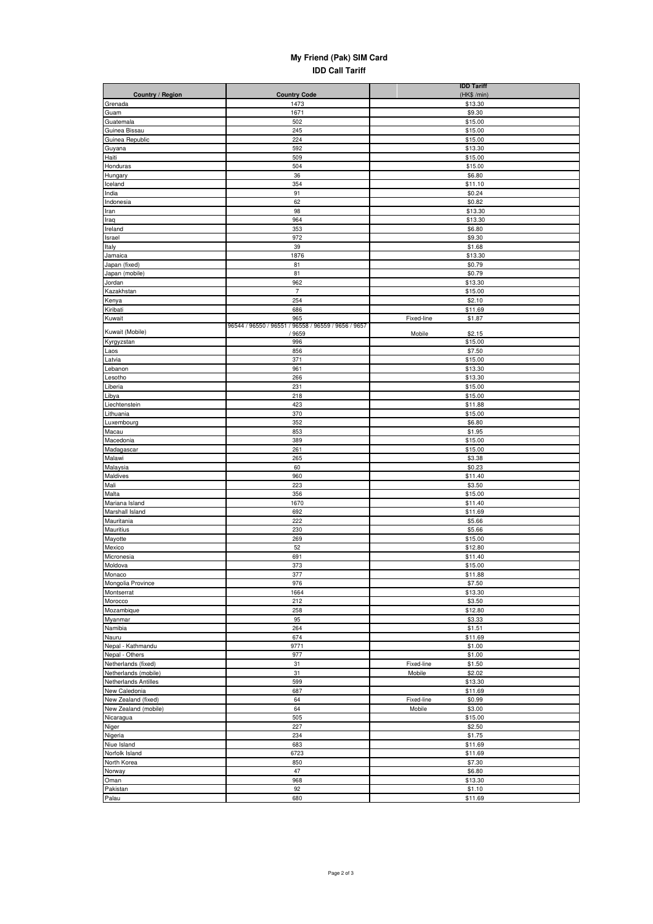## **My Friend (Pak) SIM Card IDD Call Tariff**

|                                      |                                                            | <b>IDD Tariff</b>               |
|--------------------------------------|------------------------------------------------------------|---------------------------------|
| Country / Region                     | <b>Country Code</b><br>1473                                | (HK\$ /min)<br>\$13.30          |
| Grenada<br>Guam                      | 1671                                                       | \$9.30                          |
| Guatemala                            | 502                                                        | \$15.00                         |
| Guinea Bissau                        | 245                                                        | \$15.00                         |
| Guinea Republic                      | 224                                                        | \$15.00                         |
| Guyana                               | 592                                                        | \$13.30                         |
| Haiti                                | 509                                                        | \$15.00                         |
| Honduras                             | 504                                                        | \$15.00                         |
| Hungary<br>Iceland                   | 36<br>354                                                  | \$6.80<br>\$11.10               |
| India                                | 91                                                         | \$0.24                          |
| Indonesia                            | 62                                                         | \$0.82                          |
| Iran                                 | 98                                                         | \$13.30                         |
| Iraq                                 | 964                                                        | \$13.30                         |
| Ireland                              | 353                                                        | \$6.80                          |
| Israel                               | 972                                                        | \$9.30                          |
| Italy<br>Jamaica                     | 39<br>1876                                                 | \$1.68<br>\$13.30               |
| Japan (fixed)                        | 81                                                         | \$0.79                          |
| Japan (mobile)                       | 81                                                         | \$0.79                          |
| Jordan                               | 962                                                        | \$13.30                         |
| Kazakhstan                           | $\overline{7}$                                             | \$15.00                         |
| Kenya                                | 254                                                        | \$2.10                          |
| Kiribati                             | 686                                                        | \$11.69                         |
| Kuwait                               | 965<br>96544 / 96550 / 96551 / 96558 / 96559 / 9656 / 9657 | Fixed-line<br>\$1.87            |
| Kuwait (Mobile)                      | /9659                                                      | Mobile<br>\$2.15                |
| Kyrgyzstan                           | 996                                                        | \$15.00                         |
| Laos                                 | 856                                                        | \$7.50                          |
| Latvia                               | 371                                                        | \$15.00                         |
| Lebanon                              | 961                                                        | \$13.30                         |
| Lesotho<br>Liberia                   | 266<br>231                                                 | \$13.30<br>\$15.00              |
| Libya                                | 218                                                        | \$15.00                         |
| Liechtenstein                        | 423                                                        | \$11.88                         |
| Lithuania                            | 370                                                        | \$15.00                         |
| Luxembourg                           | 352                                                        | \$6.80                          |
| Macau                                | 853                                                        | \$1.95                          |
| Macedonia                            | 389                                                        | \$15.00                         |
| Madagascar                           | 261<br>265                                                 | \$15.00                         |
| Malawi<br>Malaysia                   | 60                                                         | \$3.38<br>\$0.23                |
| Maldives                             | 960                                                        | \$11.40                         |
| Mali                                 | 223                                                        | \$3.50                          |
| Malta                                | 356                                                        | \$15.00                         |
| Mariana Island                       | 1670                                                       | \$11.40                         |
| Marshall Island                      | 692                                                        | \$11.69                         |
| Mauritania                           | 222                                                        | \$5.66                          |
| Mauritius<br>Mayotte                 | 230<br>269                                                 | \$5.66<br>\$15.00               |
| Mexico                               | 52                                                         | \$12.80                         |
| Micronesia                           | 691                                                        | \$11.40                         |
| Moldova                              | 373                                                        | \$15.00                         |
| Monaco                               | 377                                                        | \$11.88                         |
| Mongolia Province                    | 976                                                        | \$7.50                          |
| Montserrat                           | 1664                                                       | \$13.30                         |
| Morocco                              | 212                                                        | \$3.50                          |
| Mozambique<br>Myanmar                | 258<br>95                                                  | \$12.80<br>\$3.33               |
| Namibia                              | 264                                                        | \$1.51                          |
| Nauru                                | 674                                                        | \$11.69                         |
| Nepal - Kathmandu                    | 9771                                                       | \$1.00                          |
| Nepal - Others                       | 977                                                        | \$1.00                          |
| Netherlands (fixed)                  | 31                                                         | Fixed-line<br>\$1.50            |
| Netherlands (mobile)                 | 31                                                         | Mobile<br>\$2.02                |
| Netherlands Antilles                 | 599                                                        | \$13.30                         |
| New Caledonia<br>New Zealand (fixed) | 687<br>64                                                  | \$11.69<br>\$0.99<br>Fixed-line |
| New Zealand (mobile)                 | 64                                                         | Mobile<br>\$3.00                |
| Nicaragua                            | 505                                                        | \$15.00                         |
| Niger                                | 227                                                        | \$2.50                          |
| Nigeria                              | 234                                                        | \$1.75                          |
| Niue Island                          | 683                                                        | \$11.69                         |
| Norfolk Island                       | 6723                                                       | \$11.69                         |
| North Korea                          | 850                                                        | \$7.30                          |
| Norway                               | 47                                                         | \$6.80                          |
| Oman                                 | 968<br>92                                                  | \$13.30                         |
| Pakistan<br>Palau                    | 680                                                        | \$1.10<br>\$11.69               |
|                                      |                                                            |                                 |